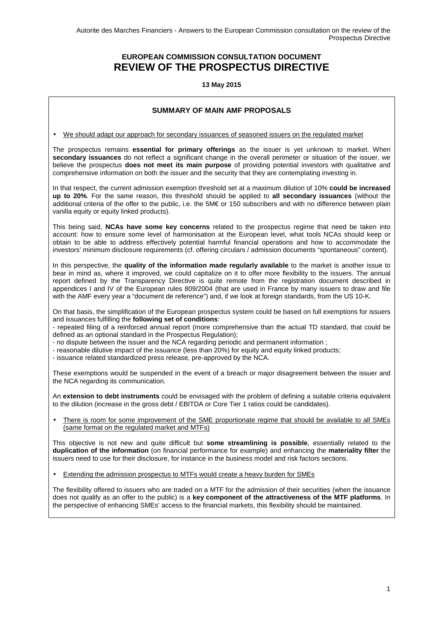# **EUROPEAN COMMISSION CONSULTATION DOCUMENT REVIEW OF THE PROSPECTUS DIRECTIVE**

**13 May 2015** 

## **SUMMARY OF MAIN AMF PROPOSALS**

• We should adapt our approach for secondary issuances of seasoned issuers on the regulated market

The prospectus remains **essential for primary offerings** as the issuer is yet unknown to market. When **secondary issuances** do not reflect a significant change in the overall perimeter or situation of the issuer, we believe the prospectus **does not meet its main purpose** of providing potential investors with qualitative and comprehensive information on both the issuer and the security that they are contemplating investing in.

In that respect, the current admission exemption threshold set at a maximum dilution of 10% **could be increased up to 20%**. For the same reason, this threshold should be applied to **all secondary issuances** (without the additional criteria of the offer to the public, i.e. the 5M€ or 150 subscribers and with no difference between plain vanilla equity or equity linked products).

This being said, **NCAs have some key concerns** related to the prospectus regime that need be taken into account: how to ensure some level of harmonisation at the European level, what tools NCAs should keep or obtain to be able to address effectively potential harmful financial operations and how to accommodate the investors' minimum disclosure requirements (cf. offering circulars / admission documents "spontaneous" content).

In this perspective, the **quality of the information made regularly available** to the market is another issue to bear in mind as, where it improved, we could capitalize on it to offer more flexibility to the issuers. The annual report defined by the Transparency Directive is quite remote from the registration document described in appendices I and IV of the European rules 809/2004 (that are used in France by many issuers to draw and file with the AMF every year a "document de reference") and, if we look at foreign standards, from the US 10-K.

On that basis, the simplification of the European prospectus system could be based on full exemptions for issuers and issuances fulfilling the **following set of conditions**:

- repeated filing of a reinforced annual report (more comprehensive than the actual TD standard, that could be defined as an optional standard in the Prospectus Regulation);

- no dispute between the issuer and the NCA regarding periodic and permanent information ;

- reasonable dilutive impact of the issuance (less than 20%) for equity and equity linked products;

- issuance related standardized press release, pre-approved by the NCA.

These exemptions would be suspended in the event of a breach or major disagreement between the issuer and the NCA regarding its communication.

An **extension to debt instruments** could be envisaged with the problem of defining a suitable criteria equivalent to the dilution (increase in the gross debt / EBITDA or Core Tier 1 ratios could be candidates).

There is room for some improvement of the SME proportionate regime that should be available to all SMEs (same format on the regulated market and MTFs)

This objective is not new and quite difficult but **some streamlining is possible**, essentially related to the **duplication of the information** (on financial performance for example) and enhancing the **materiality filter** the issuers need to use for their disclosure, for instance in the business model and risk factors sections.

• Extending the admission prospectus to MTFs would create a heavy burden for SMEs

The flexibility offered to issuers who are traded on a MTF for the admission of their securities (when the issuance does not qualify as an offer to the public) is a **key component of the attractiveness of the MTF platforms**. In the perspective of enhancing SMEs' access to the financial markets, this flexibility should be maintained.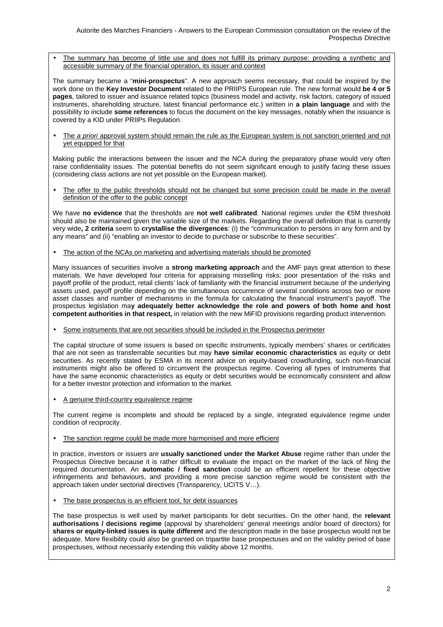The summary has become of little use and does not fulfill its primary purpose: providing a synthetic and accessible summary of the financial operation, its issuer and context

The summary became a "**mini-prospectus**". A new approach seems necessary, that could be inspired by the work done on the **Key Investor Document** related to the PRIIPS European rule. The new format would **be 4 or 5 pages**, tailored to issuer and issuance related topics (business model and activity, risk factors, category of issued instruments, shareholding structure, latest financial performance etc.) written in **a plain language** and with the possibility to include **some references** to focus the document on the key messages, notably when the issuance is covered by a KID under PRIIPs Regulation.

The a priori approval system should remain the rule as the European system is not sanction oriented and not yet equipped for that

Making public the interactions between the issuer and the NCA during the preparatory phase would very often raise confidentiality issues. The potential benefits do not seem significant enough to justify facing these issues (considering class actions are not yet possible on the European market).

The offer to the public thresholds should not be changed but some precision could be made in the overall definition of the offer to the public concept

We have **no evidence** that the thresholds are **not well calibrated**. National regimes under the €5M threshold should also be maintained given the variable size of the markets. Regarding the overall definition that is currently very wide**, 2 criteria** seem to **crystallise the divergences**: (i) the "communication to persons in any form and by any means" and (ii) "enabling an investor to decide to purchase or subscribe to these securities".

• The action of the NCAs on marketing and advertising materials should be promoted

Many issuances of securities involve a **strong marketing approach** and the AMF pays great attention to these materials. We have developed four criteria for appraising misselling risks: poor presentation of the risks and payoff profile of the product, retail clients' lack of familiarity with the financial instrument because of the underlying assets used, payoff profile depending on the simultaneous occurrence of several conditions across two or more asset classes and number of mechanisms in the formula for calculating the financial instrument's payoff. The prospectus legislation ma**y adequately better acknowledge the role and powers of both home and host competent authorities in that respect,** in relation with the new MiFID provisions regarding product intervention.

Some instruments that are not securities should be included in the Prospectus perimeter

The capital structure of some issuers is based on specific instruments, typically members' shares or certificates that are not seen as transferrable securities but may **have similar economic characteristics** as equity or debt securities. As recently stated by ESMA in its recent advice on equity-based crowdfunding, such non-financial instruments might also be offered to circumvent the prospectus regime. Covering all types of instruments that have the same economic characteristics as equity or debt securities would be economically consistent and allow for a better investor protection and information to the market.

• A genuine third-country equivalence regime

The current regime is incomplete and should be replaced by a single, integrated equivalence regime under condition of reciprocity.

The sanction regime could be made more harmonised and more efficient

In practice, investors or issuers are **usually sanctioned under the Market Abuse** regime rather than under the Prospectus Directive because it is rather difficult to evaluate the impact on the market of the lack of filing the required documentation. An **automatic / fixed sanction** could be an efficient repellent for these objective infringements and behaviours, and providing a more precise sanction regime would be consistent with the approach taken under sectorial directives (Transparency, UCITS V…).

The base prospectus is an efficient tool, for debt issuances

The base prospectus is well used by market participants for debt securities. On the other hand, the **relevant authorisations / decisions regime** (approval by shareholders' general meetings and/or board of directors) for **shares or equity-linked issues is quite different** and the description made in the base prospectus would not be adequate. More flexibility could also be granted on tripartite base prospectuses and on the validity period of base prospectuses, without necessarily extending this validity above 12 months.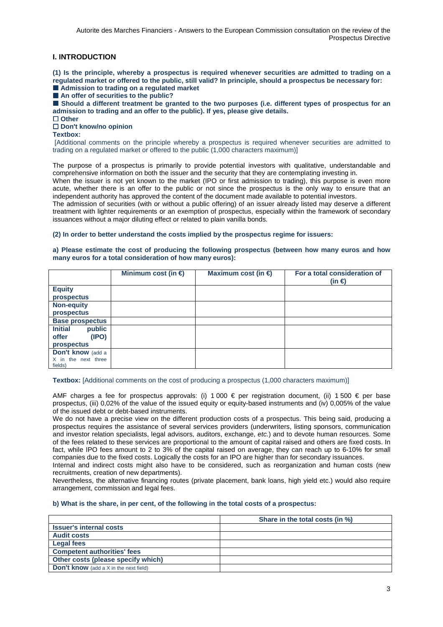## **I. INTRODUCTION**

**(1) Is the principle, whereby a prospectus is required whenever securities are admitted to trading on a regulated market or offered to the public, still valid? In principle, should a prospectus be necessary for:**  ■ Admission to trading on a regulated market

■ An offer of securities to the public?

 $\blacksquare$  Should a different treatment be granted to the two purposes (i.e. different types of prospectus for an **admission to trading and an offer to the public). If yes, please give details.** 

□ Other

## - **Don't know/no opinion**

**Textbox:** 

 [Additional comments on the principle whereby a prospectus is required whenever securities are admitted to trading on a regulated market or offered to the public (1,000 characters maximum)]

The purpose of a prospectus is primarily to provide potential investors with qualitative, understandable and comprehensive information on both the issuer and the security that they are contemplating investing in.

When the issuer is not yet known to the market (IPO or first admission to trading), this purpose is even more acute, whether there is an offer to the public or not since the prospectus is the only way to ensure that an independent authority has approved the content of the document made available to potential investors.

The admission of securities (with or without a public offering) of an issuer already listed may deserve a different treatment with lighter requirements or an exemption of prospectus, especially within the framework of secondary issuances without a major diluting effect or related to plain vanilla bonds.

## **(2) In order to better understand the costs implied by the prospectus regime for issuers:**

### **a) Please estimate the cost of producing the following prospectus (between how many euros and how many euros for a total consideration of how many euros):**

|                          | Minimum cost (in $\epsilon$ ) | Maximum cost (in $\epsilon$ ) | For a total consideration of<br>$(in \in)$ |
|--------------------------|-------------------------------|-------------------------------|--------------------------------------------|
| <b>Equity</b>            |                               |                               |                                            |
| prospectus               |                               |                               |                                            |
| <b>Non-equity</b>        |                               |                               |                                            |
| prospectus               |                               |                               |                                            |
| <b>Base prospectus</b>   |                               |                               |                                            |
| <b>Initial</b><br>public |                               |                               |                                            |
| offer<br>(IPO)           |                               |                               |                                            |
| prospectus               |                               |                               |                                            |
| Don't know (add a        |                               |                               |                                            |
| X in the next three      |                               |                               |                                            |
| fields)                  |                               |                               |                                            |

#### **Textbox:** [Additional comments on the cost of producing a prospectus (1,000 characters maximum)]

AMF charges a fee for prospectus approvals: (i) 1 000  $\epsilon$  per registration document, (ii) 1 500  $\epsilon$  per base prospectus, (iii) 0,02% of the value of the issued equity or equity-based instruments and (iv) 0,005% of the value of the issued debt or debt-based instruments.

We do not have a precise view on the different production costs of a prospectus. This being said, producing a prospectus requires the assistance of several services providers (underwriters, listing sponsors, communication and investor relation specialists, legal advisors, auditors, exchange, etc.) and to devote human resources. Some of the fees related to these services are proportional to the amount of capital raised and others are fixed costs. In fact, while IPO fees amount to 2 to 3% of the capital raised on average, they can reach up to 6-10% for small companies due to the fixed costs. Logically the costs for an IPO are higher than for secondary issuances.

Internal and indirect costs might also have to be considered, such as reorganization and human costs (new recruitments, creation of new departments).

Nevertheless, the alternative financing routes (private placement, bank loans, high yield etc.) would also require arrangement, commission and legal fees.

### **b) What is the share, in per cent, of the following in the total costs of a prospectus:**

|                                                 | Share in the total costs (in %) |  |  |
|-------------------------------------------------|---------------------------------|--|--|
| <b>Issuer's internal costs</b>                  |                                 |  |  |
| <b>Audit costs</b>                              |                                 |  |  |
| <b>Legal fees</b>                               |                                 |  |  |
| <b>Competent authorities' fees</b>              |                                 |  |  |
| Other costs (please specify which)              |                                 |  |  |
| <b>Don't know</b> (add a $X$ in the next field) |                                 |  |  |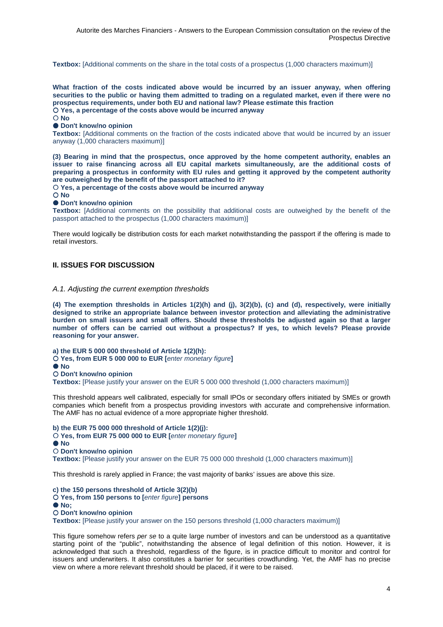**Textbox:** [Additional comments on the share in the total costs of a prospectus (1,000 characters maximum)]

**What fraction of the costs indicated above would be incurred by an issuer anyway, when offering securities to the public or having them admitted to trading on a regulated market, even if there were no prospectus requirements, under both EU and national law? Please estimate this fraction Yes, a percentage of the costs above would be incurred anyway No** 

## ● Don't know/no opinion

**Textbox:** [Additional comments on the fraction of the costs indicated above that would be incurred by an issuer anyway (1,000 characters maximum)]

**(3) Bearing in mind that the prospectus, once approved by the home competent authority, enables an issuer to raise financing across all EU capital markets simultaneously, are the additional costs of preparing a prospectus in conformity with EU rules and getting it approved by the competent authority are outweighed by the benefit of the passport attached to it?** 

 **Yes, a percentage of the costs above would be incurred anyway** 

## $\bigcap$  No

#### ● Don't know/no opinion

**Textbox:** [Additional comments on the possibility that additional costs are outweighed by the benefit of the passport attached to the prospectus (1,000 characters maximum)]

There would logically be distribution costs for each market notwithstanding the passport if the offering is made to retail investors.

## **II. ISSUES FOR DISCUSSION**

## A.1. Adjusting the current exemption thresholds

**(4) The exemption thresholds in Articles 1(2)(h) and (j), 3(2)(b), (c) and (d), respectively, were initially designed to strike an appropriate balance between investor protection and alleviating the administrative burden on small issuers and small offers. Should these thresholds be adjusted again so that a larger number of offers can be carried out without a prospectus? If yes, to which levels? Please provide reasoning for your answer.** 

**a) the EUR 5 000 000 threshold of Article 1(2)(h):** 

**Yes, from EUR 5 000 000 to EUR [**enter monetary figure**]** 

 $\bullet$  No

**Don't know/no opinion** 

**Textbox:** [Please justify your answer on the EUR 5 000 000 threshold (1,000 characters maximum)]

This threshold appears well calibrated, especially for small IPOs or secondary offers initiated by SMEs or growth companies which benefit from a prospectus providing investors with accurate and comprehensive information. The AMF has no actual evidence of a more appropriate higher threshold.

**b) the EUR 75 000 000 threshold of Article 1(2)(j): Yes, from EUR 75 000 000 to EUR [**enter monetary figure**] No Don't know/no opinion Textbox:** [Please justify your answer on the EUR 75 000 000 threshold (1,000 characters maximum)]

This threshold is rarely applied in France; the vast majority of banks' issues are above this size.

**c) the 150 persons threshold of Article 3(2)(b) Yes, from 150 persons to [**enter figure**] persons No; Don't know/no opinion** 

**Textbox:** [Please justify your answer on the 150 persons threshold (1,000 characters maximum)]

This figure somehow refers per se to a quite large number of investors and can be understood as a quantitative starting point of the "public", notwithstanding the absence of legal definition of this notion. However, it is acknowledged that such a threshold, regardless of the figure, is in practice difficult to monitor and control for issuers and underwriters. It also constitutes a barrier for securities crowdfunding. Yet, the AMF has no precise view on where a more relevant threshold should be placed, if it were to be raised.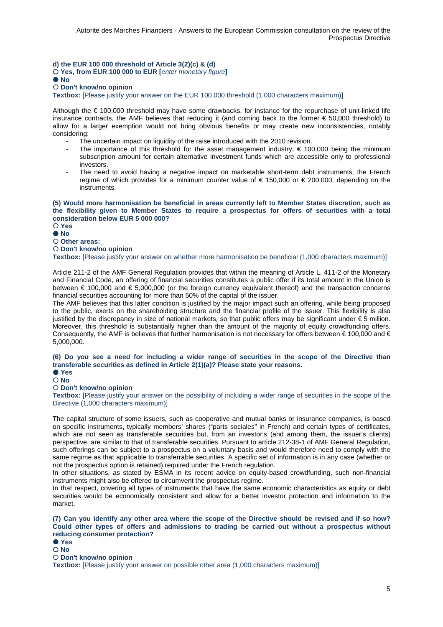**d) the EUR 100 000 threshold of Article 3(2)(c) & (d)** 

**Yes, from EUR 100 000 to EUR [**enter monetary figure**]** 

#### **No**

### **Don't know/no opinion**

**Textbox:** [Please justify your answer on the EUR 100 000 threshold (1,000 characters maximum)]

Although the € 100,000 threshold may have some drawbacks, for instance for the repurchase of unit-linked life insurance contracts, the AMF believes that reducing it (and coming back to the former € 50,000 threshold) to allow for a larger exemption would not bring obvious benefits or may create new inconsistencies, notably considering:

- The uncertain impact on liquidity of the raise introduced with the 2010 revision.
- The importance of this threshold for the asset management industry,  $\epsilon$  100,000 being the minimum subscription amount for certain alternative investment funds which are accessible only to professional investors.
- The need to avoid having a negative impact on marketable short-term debt instruments, the French regime of which provides for a minimum counter value of  $\epsilon$  150,000 or  $\epsilon$  200,000, depending on the instruments.

### **(5) Would more harmonisation be beneficial in areas currently left to Member States discretion, such as the flexibility given to Member States to require a prospectus for offers of securities with a total consideration below EUR 5 000 000?**

 **Yes No** 

# **Other areas:**

## **Don't know/no opinion**

**Textbox:** [Please justify your answer on whether more harmonisation be beneficial (1,000 characters maximum)]

Article 211-2 of the AMF General Regulation provides that within the meaning of Article L. 411-2 of the Monetary and Financial Code, an offering of financial securities constitutes a public offer if its total amount in the Union is between  $\epsilon$  100,000 and  $\epsilon$  5,000,000 (or the foreign currency equivalent thereof) and the transaction concerns financial securities accounting for more than 50% of the capital of the issuer.

The AMF believes that this latter condition is justified by the major impact such an offering, while being proposed to the public, exerts on the shareholding structure and the financial profile of the issuer. This flexibility is also justified by the discrepancy in size of national markets, so that public offers may be significant under € 5 million. Moreover, this threshold is substantially higher than the amount of the majority of equity crowdfunding offers. Consequently, the AMF is believes that further harmonisation is not necessary for offers between  $\in$  100,000 and  $\in$ 5,000,000.

### **(6) Do you see a need for including a wider range of securities in the scope of the Directive than transferable securities as defined in Article 2(1)(a)? Please state your reasons.**

#### **Yes No**

## **Don't know/no opinion**

**Textbox:** [Please justify your answer on the possibility of including a wider range of securities in the scope of the Directive (1,000 characters maximum)]

The capital structure of some issuers, such as cooperative and mutual banks or insurance companies, is based on specific instruments, typically members' shares ("parts sociales" in French) and certain types of certificates, which are not seen as transferable securities but, from an investor's (and among them, the issuer's clients) perspective, are similar to that of transferable securities. Pursuant to article 212-38-1 of AMF General Regulation, such offerings can be subject to a prospectus on a voluntary basis and would therefore need to comply with the same regime as that applicable to transferrable securities. A specific set of information is in any case (whether or not the prospectus option is retained) required under the French regulation.

In other situations, as stated by ESMA in its recent advice on equity-based crowdfunding, such non-financial instruments might also be offered to circumvent the prospectus regime.

In that respect, covering all types of instruments that have the same economic characteristics as equity or debt securities would be economically consistent and allow for a better investor protection and information to the market.

### **(7) Can you identify any other area where the scope of the Directive should be revised and if so how? Could other types of offers and admissions to trading be carried out without a prospectus without reducing consumer protection?**

**Yes** 

**No** 

### **Don't know/no opinion**

**Textbox:** [Please justify your answer on possible other area (1,000 characters maximum)]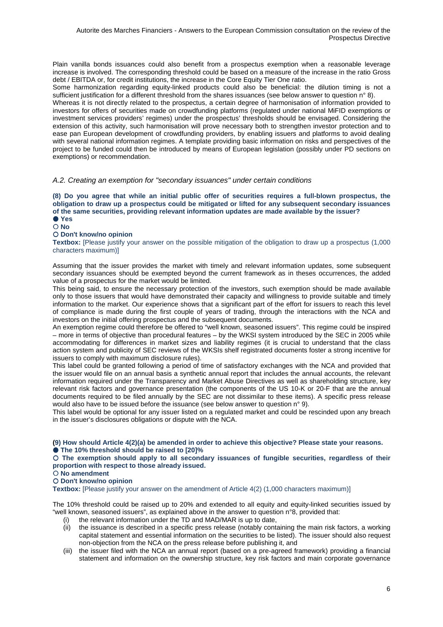Plain vanilla bonds issuances could also benefit from a prospectus exemption when a reasonable leverage increase is involved. The corresponding threshold could be based on a measure of the increase in the ratio Gross debt / EBITDA or, for credit institutions, the increase in the Core Equity Tier One ratio.

Some harmonization regarding equity-linked products could also be beneficial: the dilution timing is not a sufficient justification for a different threshold from the shares issuances (see below answer to question n° 8).

Whereas it is not directly related to the prospectus, a certain degree of harmonisation of information provided to investors for offers of securities made on crowdfunding platforms (regulated under national MiFID exemptions or investment services providers' regimes) under the prospectus' thresholds should be envisaged. Considering the extension of this activity, such harmonisation will prove necessary both to strengthen investor protection and to ease pan European development of crowdfunding providers, by enabling issuers and platforms to avoid dealing with several national information regimes. A template providing basic information on risks and perspectives of the project to be funded could then be introduced by means of European legislation (possibly under PD sections on exemptions) or recommendation.

## A.2. Creating an exemption for "secondary issuances" under certain conditions

**(8) Do you agree that while an initial public offer of securities requires a full-blown prospectus, the obligation to draw up a prospectus could be mitigated or lifted for any subsequent secondary issuances of the same securities, providing relevant information updates are made available by the issuer? Yes** 

**No** 

### **Don't know/no opinion**

**Textbox:** [Please justify your answer on the possible mitigation of the obligation to draw up a prospectus (1,000 characters maximum)]

Assuming that the issuer provides the market with timely and relevant information updates, some subsequent secondary issuances should be exempted beyond the current framework as in theses occurrences, the added value of a prospectus for the market would be limited.

This being said, to ensure the necessary protection of the investors, such exemption should be made available only to those issuers that would have demonstrated their capacity and willingness to provide suitable and timely information to the market. Our experience shows that a significant part of the effort for issuers to reach this level of compliance is made during the first couple of years of trading, through the interactions with the NCA and investors on the initial offering prospectus and the subsequent documents.

An exemption regime could therefore be offered to "well known, seasoned issuers". This regime could be inspired – more in terms of objective than procedural features – by the WKSI system introduced by the SEC in 2005 while accommodating for differences in market sizes and liability regimes (it is crucial to understand that the class action system and publicity of SEC reviews of the WKSIs shelf registrated documents foster a strong incentive for issuers to comply with maximum disclosure rules).

This label could be granted following a period of time of satisfactory exchanges with the NCA and provided that the issuer would file on an annual basis a synthetic annual report that includes the annual accounts, the relevant information required under the Transparency and Market Abuse Directives as well as shareholding structure, key relevant risk factors and governance presentation (the components of the US 10-K or 20-F that are the annual documents required to be filed annually by the SEC are not dissimilar to these items). A specific press release would also have to be issued before the issuance (see below answer to question n° 9).

This label would be optional for any issuer listed on a regulated market and could be rescinded upon any breach in the issuer's disclosures obligations or dispute with the NCA.

**(9) How should Article 4(2)(a) be amended in order to achieve this objective? Please state your reasons.** 

### **The 10% threshold should be raised to [20]%**

 **The exemption should apply to all secondary issuances of fungible securities, regardless of their proportion with respect to those already issued.** 

 **No amendment** 

## **Don't know/no opinion**

**Textbox:** [Please justify your answer on the amendment of Article 4(2) (1,000 characters maximum)]

The 10% threshold could be raised up to 20% and extended to all equity and equity-linked securities issued by "well known, seasoned issuers", as explained above in the answer to question n°8, provided that:

- (i) the relevant information under the TD and MAD/MAR is up to date,
- (ii) the issuance is described in a specific press release (notably containing the main risk factors, a working capital statement and essential information on the securities to be listed). The issuer should also request non-objection from the NCA on the press release before publishing it, and
- (iii) the issuer filed with the NCA an annual report (based on a pre-agreed framework) providing a financial statement and information on the ownership structure, key risk factors and main corporate governance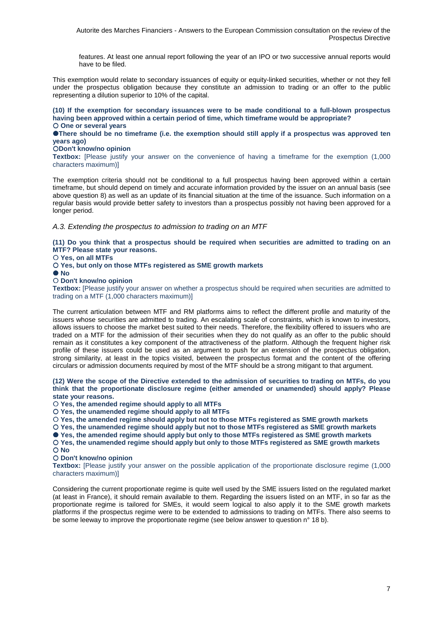features. At least one annual report following the year of an IPO or two successive annual reports would have to be filed.

This exemption would relate to secondary issuances of equity or equity-linked securities, whether or not they fell under the prospectus obligation because they constitute an admission to trading or an offer to the public representing a dilution superior to 10% of the capital.

**(10) If the exemption for secondary issuances were to be made conditional to a full-blown prospectus having been approved within a certain period of time, which timeframe would be appropriate? One or several years** 

**There should be no timeframe (i.e. the exemption should still apply if a prospectus was approved ten years ago)** 

### **Don't know/no opinion**

**Textbox:** [Please justify your answer on the convenience of having a timeframe for the exemption (1,000 characters maximum)]

The exemption criteria should not be conditional to a full prospectus having been approved within a certain timeframe, but should depend on timely and accurate information provided by the issuer on an annual basis (see above question 8) as well as an update of its financial situation at the time of the issuance. Such information on a regular basis would provide better safety to investors than a prospectus possibly not having been approved for a longer period.

A.3. Extending the prospectus to admission to trading on an MTF

**(11) Do you think that a prospectus should be required when securities are admitted to trading on an MTF? Please state your reasons.** 

 **Yes, on all MTFs** 

 **Yes, but only on those MTFs registered as SME growth markets** 

 **No** 

 **Don't know/no opinion** 

**Textbox:** [Please justify your answer on whether a prospectus should be required when securities are admitted to trading on a MTF (1,000 characters maximum)]

The current articulation between MTF and RM platforms aims to reflect the different profile and maturity of the issuers whose securities are admitted to trading. An escalating scale of constraints, which is known to investors, allows issuers to choose the market best suited to their needs. Therefore, the flexibility offered to issuers who are traded on a MTF for the admission of their securities when they do not qualify as an offer to the public should remain as it constitutes a key component of the attractiveness of the platform. Although the frequent higher risk profile of these issuers could be used as an argument to push for an extension of the prospectus obligation, strong similarity, at least in the topics visited, between the prospectus format and the content of the offering circulars or admission documents required by most of the MTF should be a strong mitigant to that argument.

**(12) Were the scope of the Directive extended to the admission of securities to trading on MTFs, do you think that the proportionate disclosure regime (either amended or unamended) should apply? Please state your reasons.** 

 **Yes, the amended regime should apply to all MTFs** 

 **Yes, the unamended regime should apply to all MTFs**

 **Yes, the amended regime should apply but not to those MTFs registered as SME growth markets** 

 **Yes, the unamended regime should apply but not to those MTFs registered as SME growth markets** 

● Yes, the amended regime should apply but only to those MTFs registered as SME growth markets

 **Yes, the unamended regime should apply but only to those MTFs registered as SME growth markets No** 

 **Don't know/no opinion** 

**Textbox:** [Please justify your answer on the possible application of the proportionate disclosure regime (1,000 characters maximum)]

Considering the current proportionate regime is quite well used by the SME issuers listed on the regulated market (at least in France), it should remain available to them. Regarding the issuers listed on an MTF, in so far as the proportionate regime is tailored for SMEs, it would seem logical to also apply it to the SME growth markets platforms if the prospectus regime were to be extended to admissions to trading on MTFs. There also seems to be some leeway to improve the proportionate regime (see below answer to question n° 18 b).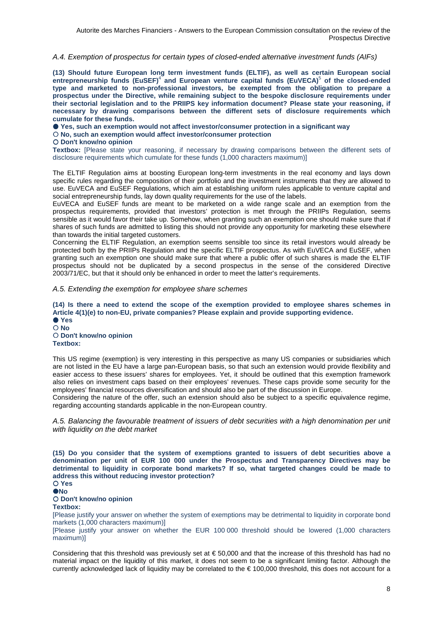A.4. Exemption of prospectus for certain types of closed-ended alternative investment funds (AIFs)

**(13) Should future European long term investment funds (ELTIF), as well as certain European social**  entrepreneurship funds (EuSEF)<sup>4</sup> and European venture capital funds (EuVECA)<sup>5</sup> of the closed-ended **type and marketed to non-professional investors, be exempted from the obligation to prepare a prospectus under the Directive, while remaining subject to the bespoke disclosure requirements under their sectorial legislation and to the PRIIPS key information document? Please state your reasoning, if necessary by drawing comparisons between the different sets of disclosure requirements which cumulate for these funds.** 

 **Yes, such an exemption would not affect investor/consumer protection in a significant way** 

 **No, such an exemption would affect investor/consumer protection** 

#### **Don't know/no opinion**

**Textbox:** [Please state your reasoning, if necessary by drawing comparisons between the different sets of disclosure requirements which cumulate for these funds (1,000 characters maximum)]

The ELTIF Regulation aims at boosting European long-term investments in the real economy and lays down specific rules regarding the composition of their portfolio and the investment instruments that they are allowed to use. EuVECA and EuSEF Regulations, which aim at establishing uniform rules applicable to venture capital and social entrepreneurship funds, lay down quality requirements for the use of the labels.

EuVECA and EuSEF funds are meant to be marketed on a wide range scale and an exemption from the prospectus requirements, provided that investors' protection is met through the PRIIPs Regulation, seems sensible as it would favor their take up. Somehow, when granting such an exemption one should make sure that if shares of such funds are admitted to listing this should not provide any opportunity for marketing these elsewhere than towards the initial targeted customers.

Concerning the ELTIF Regulation, an exemption seems sensible too since its retail investors would already be protected both by the PRIIPs Regulation and the specific ELTIF prospectus. As with EuVECA and EuSEF, when granting such an exemption one should make sure that where a public offer of such shares is made the ELTIF prospectus should not be duplicated by a second prospectus in the sense of the considered Directive 2003/71/EC, but that it should only be enhanced in order to meet the latter's requirements.

A.5. Extending the exemption for employee share schemes

**(14) Is there a need to extend the scope of the exemption provided to employee shares schemes in Article 4(1)(e) to non-EU, private companies? Please explain and provide supporting evidence. Yes No Don't know/no opinion** 

**Textbox:** 

This US regime (exemption) is very interesting in this perspective as many US companies or subsidiaries which are not listed in the EU have a large pan-European basis, so that such an extension would provide flexibility and easier access to these issuers' shares for employees. Yet, it should be outlined that this exemption framework also relies on investment caps based on their employees' revenues. These caps provide some security for the employees' financial resources diversification and should also be part of the discussion in Europe.

Considering the nature of the offer, such an extension should also be subject to a specific equivalence regime, regarding accounting standards applicable in the non-European country.

A.5. Balancing the favourable treatment of issuers of debt securities with a high denomination per unit with liquidity on the debt market

**(15) Do you consider that the system of exemptions granted to issuers of debt securities above a denomination per unit of EUR 100 000 under the Prospectus and Transparency Directives may be detrimental to liquidity in corporate bond markets? If so, what targeted changes could be made to address this without reducing investor protection? Yes** 

## **ONo**

### **Don't know/no opinion**

**Textbox:** 

[Please justify your answer on whether the system of exemptions may be detrimental to liquidity in corporate bond markets (1,000 characters maximum)]

[Please justify your answer on whether the EUR 100 000 threshold should be lowered (1,000 characters maximum)]

Considering that this threshold was previously set at  $\epsilon$  50,000 and that the increase of this threshold has had no material impact on the liquidity of this market, it does not seem to be a significant limiting factor. Although the currently acknowledged lack of liquidity may be correlated to the € 100,000 threshold, this does not account for a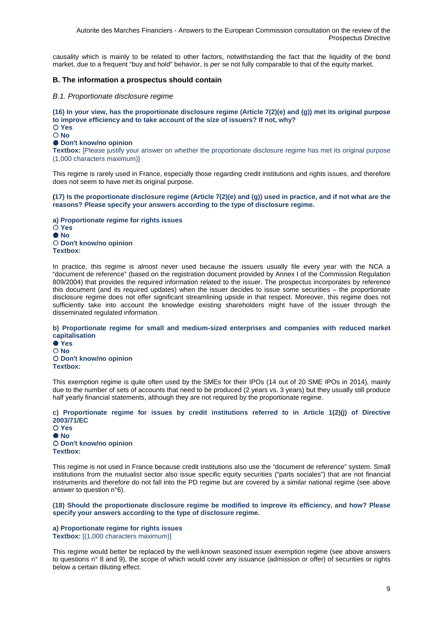causality which is mainly to be related to other factors, notwithstanding the fact that the liquidity of the bond market, due to a frequent "buy and hold" behavior, is per se not fully comparable to that of the equity market.

## **B. The information a prospectus should contain**

### B.1. Proportionate disclosure regime

**(16) In your view, has the proportionate disclosure regime (Article 7(2)(e) and (g)) met its original purpose to improve efficiency and to take account of the size of issuers? If not, why? Yes No** 

## **Don't know/no opinion**

**Textbox:** [Please justify your answer on whether the proportionate disclosure regime has met its original purpose (1,000 characters maximum)]

This regime is rarely used in France, especially those regarding credit institutions and rights issues, and therefore does not seem to have met its original purpose.

**(17) Is the proportionate disclosure regime (Article 7(2)(e) and (g)) used in practice, and if not what are the reasons? Please specify your answers according to the type of disclosure regime.** 

**a) Proportionate regime for rights issues Yes**   $\bullet$  No **Don't know/no opinion Textbox:** 

In practice, this regime is almost never used because the issuers usually file every year with the NCA a "document de reference" (based on the registration document provided by Annex I of the Commission Regulation 809/2004) that provides the required information related to the issuer. The prospectus incorporates by reference this document (and its required updates) when the issuer decides to issue some securities – the proportionate disclosure regime does not offer significant streamlining upside in that respect. Moreover, this regime does not sufficiently take into account the knowledge existing shareholders might have of the issuer through the disseminated regulated information.

#### **b) Proportionate regime for small and medium-sized enterprises and companies with reduced market capitalisation**

 **Yes No Don't know/no opinion Textbox:** 

This exemption regime is quite often used by the SMEs for their IPOs (14 out of 20 SME IPOs in 2014), mainly due to the number of sets of accounts that need to be produced (2 years vs. 3 years) but they usually still produce half yearly financial statements, although they are not required by the proportionate regime.

### **c) Proportionate regime for issues by credit institutions referred to in Article 1(2)(j) of Directive 2003/71/EC**

 **Yes**   $\bullet$  No **Don't know/no opinion Textbox:** 

This regime is not used in France because credit institutions also use the "document de reference" system. Small institutions from the mutualist sector also issue specific equity securities ("parts sociales") that are not financial instruments and therefore do not fall into the PD regime but are covered by a similar national regime (see above answer to question n°6).

**(18) Should the proportionate disclosure regime be modified to improve its efficiency, and how? Please specify your answers according to the type of disclosure regime.** 

**a) Proportionate regime for rights issues Textbox:** [(1,000 characters maximum)]

This regime would better be replaced by the well-known seasoned issuer exemption regime (see above answers to questions n° 8 and 9), the scope of which would cover any issuance (admission or offer) of securities or rights below a certain diluting effect.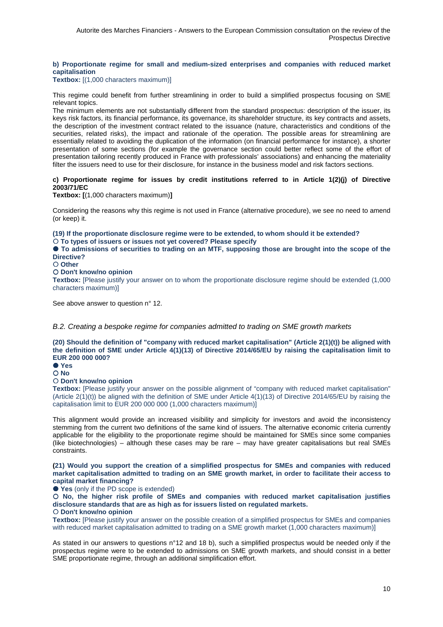## **b) Proportionate regime for small and medium-sized enterprises and companies with reduced market capitalisation**

**Textbox:** [(1,000 characters maximum)]

This regime could benefit from further streamlining in order to build a simplified prospectus focusing on SME relevant topics.

The minimum elements are not substantially different from the standard prospectus: description of the issuer, its keys risk factors, its financial performance, its governance, its shareholder structure, its key contracts and assets, the description of the investment contract related to the issuance (nature, characteristics and conditions of the securities, related risks), the impact and rationale of the operation. The possible areas for streamlining are essentially related to avoiding the duplication of the information (on financial performance for instance), a shorter presentation of some sections (for example the governance section could better reflect some of the effort of presentation tailoring recently produced in France with professionals' associations) and enhancing the materiality filter the issuers need to use for their disclosure, for instance in the business model and risk factors sections.

## **c) Proportionate regime for issues by credit institutions referred to in Article 1(2)(j) of Directive 2003/71/EC**

**Textbox: [**(1,000 characters maximum)**]**

Considering the reasons why this regime is not used in France (alternative procedure), we see no need to amend (or keep) it.

**(19) If the proportionate disclosure regime were to be extended, to whom should it be extended? To types of issuers or issues not yet covered? Please specify** 

 **To admissions of securities to trading on an MTF, supposing those are brought into the scope of the Directive?** 

 **Other** 

 **Don't know/no opinion** 

**Textbox:** [Please justify your answer on to whom the proportionate disclosure regime should be extended (1,000 characters maximum)]

See above answer to question n° 12.

B.2. Creating a bespoke regime for companies admitted to trading on SME growth markets

**(20) Should the definition of "company with reduced market capitalisation" (Article 2(1)(t)) be aligned with the definition of SME under Article 4(1)(13) of Directive 2014/65/EU by raising the capitalisation limit to EUR 200 000 000?** 

 **Yes No** 

## **Don't know/no opinion**

**Textbox:** [Please justify your answer on the possible alignment of "company with reduced market capitalisation" (Article 2(1)(t)) be aligned with the definition of SME under Article 4(1)(13) of Directive 2014/65/EU by raising the capitalisation limit to EUR 200 000 000 (1,000 characters maximum)]

This alignment would provide an increased visibility and simplicity for investors and avoid the inconsistency stemming from the current two definitions of the same kind of issuers. The alternative economic criteria currently applicable for the eligibility to the proportionate regime should be maintained for SMEs since some companies (like biotechnologies) – although these cases may be rare – may have greater capitalisations but real SMEs constraints.

### **(21) Would you support the creation of a simplified prospectus for SMEs and companies with reduced market capitalisation admitted to trading on an SME growth market, in order to facilitate their access to capital market financing?**

**Yes** (only if the PD scope is extended)

 **No, the higher risk profile of SMEs and companies with reduced market capitalisation justifies disclosure standards that are as high as for issuers listed on regulated markets.** 

## **Don't know/no opinion**

**Textbox:** [Please justify your answer on the possible creation of a simplified prospectus for SMEs and companies with reduced market capitalisation admitted to trading on a SME growth market (1,000 characters maximum)]

As stated in our answers to questions n°12 and 18 b), such a simplified prospectus would be needed only if the prospectus regime were to be extended to admissions on SME growth markets, and should consist in a better SME proportionate regime, through an additional simplification effort.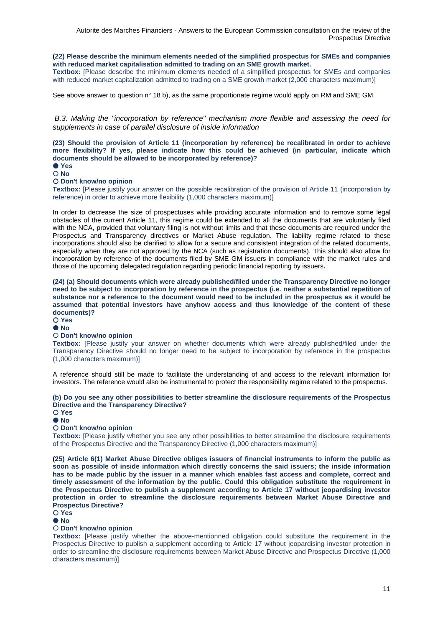### **(22) Please describe the minimum elements needed of the simplified prospectus for SMEs and companies with reduced market capitalisation admitted to trading on an SME growth market.**

**Textbox:** [Please describe the minimum elements needed of a simplified prospectus for SMEs and companies with reduced market capitalization admitted to trading on a SME growth market (2,000 characters maximum)]

See above answer to question n° 18 b), as the same proportionate regime would apply on RM and SME GM.

B.3. Making the "incorporation by reference" mechanism more flexible and assessing the need for supplements in case of parallel disclosure of inside information

**(23) Should the provision of Article 11 (incorporation by reference) be recalibrated in order to achieve more flexibility? If yes, please indicate how this could be achieved (in particular, indicate which documents should be allowed to be incorporated by reference)?** 

 **Yes No** 

### **Don't know/no opinion**

**Textbox:** [Please justify your answer on the possible recalibration of the provision of Article 11 (incorporation by reference) in order to achieve more flexibility (1,000 characters maximum)]

In order to decrease the size of prospectuses while providing accurate information and to remove some legal obstacles of the current Article 11, this regime could be extended to all the documents that are voluntarily filed with the NCA, provided that voluntary filing is not without limits and that these documents are required under the Prospectus and Transparency directives or Market Abuse regulation. The liability regime related to these incorporations should also be clarified to allow for a secure and consistent integration of the related documents, especially when they are not approved by the NCA (such as registration documents). This should also allow for incorporation by reference of the documents filed by SME GM issuers in compliance with the market rules and those of the upcoming delegated regulation regarding periodic financial reporting by issuers**.** 

**(24) (a) Should documents which were already published/filed under the Transparency Directive no longer need to be subject to incorporation by reference in the prospectus (i.e. neither a substantial repetition of substance nor a reference to the document would need to be included in the prospectus as it would be assumed that potential investors have anyhow access and thus knowledge of the content of these documents)?** 

**Yes** 

#### **No**

### **Don't know/no opinion**

**Textbox:** [Please justify your answer on whether documents which were already published/filed under the Transparency Directive should no longer need to be subject to incorporation by reference in the prospectus (1,000 characters maximum)]

A reference should still be made to facilitate the understanding of and access to the relevant information for investors. The reference would also be instrumental to protect the responsibility regime related to the prospectus.

## **(b) Do you see any other possibilities to better streamline the disclosure requirements of the Prospectus Directive and the Transparency Directive?**

**Yes** 

## **No**

### **Don't know/no opinion**

**Textbox:** [Please justify whether you see any other possibilities to better streamline the disclosure requirements of the Prospectus Directive and the Transparency Directive (1,000 characters maximum)]

**(25) Article 6(1) Market Abuse Directive obliges issuers of financial instruments to inform the public as soon as possible of inside information which directly concerns the said issuers; the inside information has to be made public by the issuer in a manner which enables fast access and complete, correct and timely assessment of the information by the public. Could this obligation substitute the requirement in the Prospectus Directive to publish a supplement according to Article 17 without jeopardising investor protection in order to streamline the disclosure requirements between Market Abuse Directive and Prospectus Directive?** 

## **Yes**

## $\bullet$  No

## **Don't know/no opinion**

**Textbox:** [Please justify whether the above-mentionned obligation could substitute the requirement in the Prospectus Directive to publish a supplement according to Article 17 without jeopardising investor protection in order to streamline the disclosure requirements between Market Abuse Directive and Prospectus Directive (1,000 characters maximum)]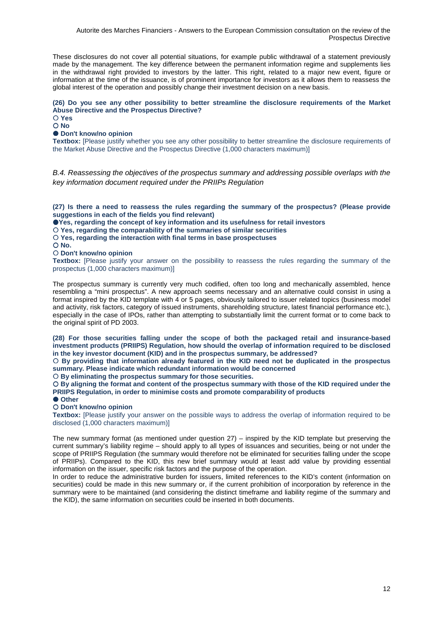These disclosures do not cover all potential situations, for example public withdrawal of a statement previously made by the management. The key difference between the permanent information regime and supplements lies in the withdrawal right provided to investors by the latter. This right, related to a major new event, figure or information at the time of the issuance, is of prominent importance for investors as it allows them to reassess the global interest of the operation and possibly change their investment decision on a new basis.

## **(26) Do you see any other possibility to better streamline the disclosure requirements of the Market Abuse Directive and the Prospectus Directive?**

 **Yes No** 

## **Don't know/no opinion**

**Textbox:** [Please justify whether you see any other possibility to better streamline the disclosure requirements of the Market Abuse Directive and the Prospectus Directive (1,000 characters maximum)]

B.4. Reassessing the objectives of the prospectus summary and addressing possible overlaps with the key information document required under the PRIIPs Regulation

**(27) Is there a need to reassess the rules regarding the summary of the prospectus? (Please provide suggestions in each of the fields you find relevant)** 

**Yes, regarding the concept of key information and its usefulness for retail investors** 

 **Yes, regarding the comparability of the summaries of similar securities** 

 **Yes, regarding the interaction with final terms in base prospectuses** 

 $\bigcap$  No.

### **Don't know/no opinion**

**Textbox:** [Please justify your answer on the possibility to reassess the rules regarding the summary of the prospectus (1,000 characters maximum)]

The prospectus summary is currently very much codified, often too long and mechanically assembled, hence resembling a "mini prospectus". A new approach seems necessary and an alternative could consist in using a format inspired by the KID template with 4 or 5 pages, obviously tailored to issuer related topics (business model and activity, risk factors, category of issued instruments, shareholding structure, latest financial performance etc.), especially in the case of IPOs, rather than attempting to substantially limit the current format or to come back to the original spirit of PD 2003.

**(28) For those securities falling under the scope of both the packaged retail and insurance-based investment products (PRIIPS) Regulation, how should the overlap of information required to be disclosed in the key investor document (KID) and in the prospectus summary, be addressed?** 

 **By providing that information already featured in the KID need not be duplicated in the prospectus summary. Please indicate which redundant information would be concerned** 

 **By eliminating the prospectus summary for those securities.** 

 **By aligning the format and content of the prospectus summary with those of the KID required under the PRIIPS Regulation, in order to minimise costs and promote comparability of products** 

 **Other** 

### **Don't know/no opinion**

**Textbox:** [Please justify your answer on the possible ways to address the overlap of information required to be disclosed (1,000 characters maximum)]

The new summary format (as mentioned under question 27) – inspired by the KID template but preserving the current summary's liability regime – should apply to all types of issuances and securities, being or not under the scope of PRIIPS Regulation (the summary would therefore not be eliminated for securities falling under the scope of PRIIPs). Compared to the KID, this new brief summary would at least add value by providing essential information on the issuer, specific risk factors and the purpose of the operation.

In order to reduce the administrative burden for issuers, limited references to the KID's content (information on securities) could be made in this new summary or, if the current prohibition of incorporation by reference in the summary were to be maintained (and considering the distinct timeframe and liability regime of the summary and the KID), the same information on securities could be inserted in both documents.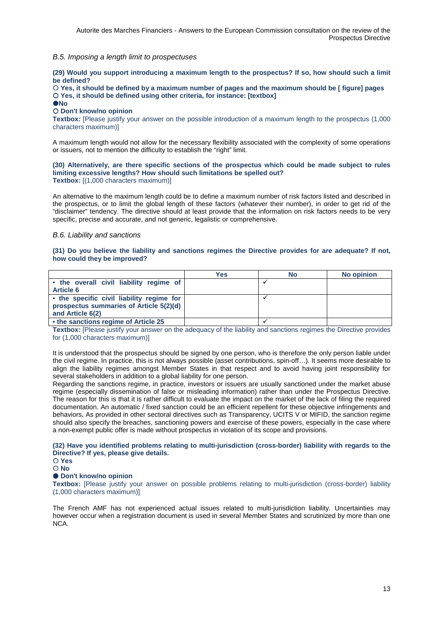## B.5. Imposing a length limit to prospectuses

**(29) Would you support introducing a maximum length to the prospectus? If so, how should such a limit be defined?** 

 **Yes, it should be defined by a maximum number of pages and the maximum should be [ figure] pages Yes, it should be defined using other criteria, for instance: [textbox]** 

*<u>ONo</u>* 

#### **Don't know/no opinion**

**Textbox:** [Please justify your answer on the possible introduction of a maximum length to the prospectus (1,000 characters maximum)]

A maximum length would not allow for the necessary flexibility associated with the complexity of some operations or issuers, not to mention the difficulty to establish the "right" limit.

**(30) Alternatively, are there specific sections of the prospectus which could be made subject to rules limiting excessive lengths? How should such limitations be spelled out? Textbox:** [(1,000 characters maximum)]

An alternative to the maximum length could be to define a maximum number of risk factors listed and described in the prospectus, or to limit the global length of these factors (whatever their number), in order to get rid of the "disclaimer" tendency. The directive should at least provide that the information on risk factors needs to be very specific, precise and accurate, and not generic, legalistic or comprehensive.

### B.6. Liability and sanctions

### **(31) Do you believe the liability and sanctions regimes the Directive provides for are adequate? If not, how could they be improved?**

|                                           | Yes | No | <b>No opinion</b> |
|-------------------------------------------|-----|----|-------------------|
| • the overall civil liability regime of   |     |    |                   |
| <b>Article 6</b>                          |     |    |                   |
| • the specific civil liability regime for |     |    |                   |
| prospectus summaries of Article 5(2)(d)   |     |    |                   |
| and Article 6(2)                          |     |    |                   |
| • the sanctions regime of Article 25      |     |    |                   |

**Textbox:** [Please justify your answer on the adequacy of the liability and sanctions regimes the Directive provides for (1,000 characters maximum)]

It is understood that the prospectus should be signed by one person, who is therefore the only person liable under the civil regime. In practice, this is not always possible (asset contributions, spin-off…). It seems more desirable to align the liability regimes amongst Member States in that respect and to avoid having joint responsibility for several stakeholders in addition to a global liability for one person.

Regarding the sanctions regime, in practice, investors or issuers are usually sanctioned under the market abuse regime (especially dissemination of false or misleading information) rather than under the Prospectus Directive. The reason for this is that it is rather difficult to evaluate the impact on the market of the lack of filing the required documentation. An automatic / fixed sanction could be an efficient repellent for these objective infringements and behaviors**.** As provided in other sectoral directives such as Transparency, UCITS V or MIFID, the sanction regime should also specify the breaches, sanctioning powers and exercise of these powers, especially in the case where a non-exempt public offer is made without prospectus in violation of its scope and provisions.

**(32) Have you identified problems relating to multi-jurisdiction (cross-border) liability with regards to the Directive? If yes, please give details.** 

## **Yes**

**No** 

### $\bullet$  Don't know/no opinion

**Textbox:** [Please justify your answer on possible problems relating to multi-jurisdiction (cross-border) liability (1,000 characters maximum)]

The French AMF has not experienced actual issues related to multi-jurisdiction liability. Uncertainties may however occur when a registration document is used in several Member States and scrutinized by more than one NCA.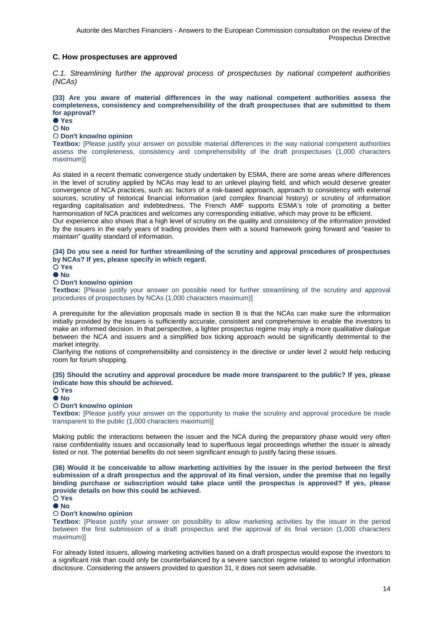## **C. How prospectuses are approved**

C.1. Streamlining further the approval process of prospectuses by national competent authorities (NCAs)

**(33) Are you aware of material differences in the way national competent authorities assess the completeness, consistency and comprehensibility of the draft prospectuses that are submitted to them for approval?** 

 **Yes**   $\bigcap$  No

## **Don't know/no opinion**

**Textbox:** [Please justify your answer on possible material differences in the way national competent authorities assess the completeness, consistency and comprehensibility of the draft prospectuses (1,000 characters maximum)]

As stated in a recent thematic convergence study undertaken by ESMA, there are some areas where differences in the level of scrutiny applied by NCAs may lead to an unlevel playing field, and which would deserve greater convergence of NCA practices, such as: factors of a risk-based approach, approach to consistency with external sources, scrutiny of historical financial information (and complex financial history) or scrutiny of information regarding capitalisation and indebtedness. The French AMF supports ESMA's role of promoting a better harmonisation of NCA practices and welcomes any corresponding initiative, which may prove to be efficient.

Our experience also shows that a high level of scrutiny on the quality and consistency of the information provided by the issuers in the early years of trading provides them with a sound framework going forward and "easier to maintain" quality standard of information.

## **(34) Do you see a need for further streamlining of the scrutiny and approval procedures of prospectuses by NCAs? If yes, please specify in which regard.**

 **Yes No** 

### **Don't know/no opinion**

**Textbox:** [Please justify your answer on possible need for further streamlining of the scrutiny and approval procedures of prospectuses by NCAs (1,000 characters maximum)]

A prerequisite for the alleviation proposals made in section B is that the NCAs can make sure the information initially provided by the issuers is sufficiently accurate, consistent and comprehensive to enable the investors to make an informed decision. In that perspective, a lighter prospectus regime may imply a more qualitative dialogue between the NCA and issuers and a simplified box ticking approach would be significantly detrimental to the market integrity.

Clarifying the notions of comprehensibility and consistency in the directive or under level 2 would help reducing room for forum shopping.

### **(35) Should the scrutiny and approval procedure be made more transparent to the public? If yes, please indicate how this should be achieved.**

**Yes** 

#### **No**

### **Don't know/no opinion**

**Textbox:** [Please justify your answer on the opportunity to make the scrutiny and approval procedure be made transparent to the public (1,000 characters maximum)]

Making public the interactions between the issuer and the NCA during the preparatory phase would very often raise confidentiality issues and occasionally lead to superfluous legal proceedings whether the issuer is already listed or not. The potential benefits do not seem significant enough to justify facing these issues.

**(36) Would it be conceivable to allow marketing activities by the issuer in the period between the first submission of a draft prospectus and the approval of its final version, under the premise that no legally binding purchase or subscription would take place until the prospectus is approved? If yes, please provide details on how this could be achieved.** 

#### **Yes**   $\bullet$  No

### **Don't know/no opinion**

**Textbox:** [Please justify your answer on possibility to allow marketing activities by the issuer in the period between the first submission of a draft prospectus and the approval of its final version (1,000 characters maximum)]

For already listed issuers, allowing marketing activities based on a draft prospectus would expose the investors to a significant risk than could only be counterbalanced by a severe sanction regime related to wrongful information disclosure. Considering the answers provided to question 31, it does not seem advisable.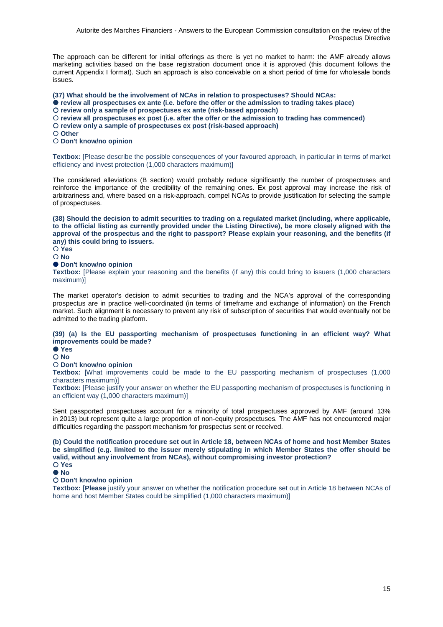The approach can be different for initial offerings as there is yet no market to harm: the AMF already allows marketing activities based on the base registration document once it is approved (this document follows the current Appendix I format). Such an approach is also conceivable on a short period of time for wholesale bonds issues.

**(37) What should be the involvement of NCAs in relation to prospectuses? Should NCAs: review all prospectuses ex ante (i.e. before the offer or the admission to trading takes place) review only a sample of prospectuses ex ante (risk-based approach) review all prospectuses ex post (i.e. after the offer or the admission to trading has commenced)** 

**review only a sample of prospectuses ex post (risk-based approach)** 

**Other** 

**Don't know/no opinion** 

**Textbox:** [Please describe the possible consequences of your favoured approach, in particular in terms of market efficiency and invest protection (1,000 characters maximum)]

The considered alleviations (B section) would probably reduce significantly the number of prospectuses and reinforce the importance of the credibility of the remaining ones. Ex post approval may increase the risk of arbitrariness and, where based on a risk-approach, compel NCAs to provide justification for selecting the sample of prospectuses.

**(38) Should the decision to admit securities to trading on a regulated market (including, where applicable, to the official listing as currently provided under the Listing Directive), be more closely aligned with the approval of the prospectus and the right to passport? Please explain your reasoning, and the benefits (if any) this could bring to issuers.** 

#### **Yes No**

## **Don't know/no opinion**

**Textbox:** [Please explain your reasoning and the benefits (if any) this could bring to issuers (1,000 characters maximum)]

The market operator's decision to admit securities to trading and the NCA's approval of the corresponding prospectus are in practice well-coordinated (in terms of timeframe and exchange of information) on the French market. Such alignment is necessary to prevent any risk of subscription of securities that would eventually not be admitted to the trading platform.

### **(39) (a) Is the EU passporting mechanism of prospectuses functioning in an efficient way? What improvements could be made?**

## **Yes**

## **No**

## **Don't know/no opinion**

**Textbox:** [What improvements could be made to the EU passporting mechanism of prospectuses (1,000) characters maximum)]

**Textbox:** [Please justify your answer on whether the EU passporting mechanism of prospectuses is functioning in an efficient way (1,000 characters maximum)]

Sent passported prospectuses account for a minority of total prospectuses approved by AMF (around 13% in 2013) but represent quite a large proportion of non-equity prospectuses. The AMF has not encountered major difficulties regarding the passport mechanism for prospectus sent or received.

**(b) Could the notification procedure set out in Article 18, between NCAs of home and host Member States be simplified (e.g. limited to the issuer merely stipulating in which Member States the offer should be valid, without any involvement from NCAs), without compromising investor protection? Yes** 

### **Don't know/no opinion**

**Textbox: [Please** justify your answer on whether the notification procedure set out in Article 18 between NCAs of home and host Member States could be simplified (1,000 characters maximum)]

**No**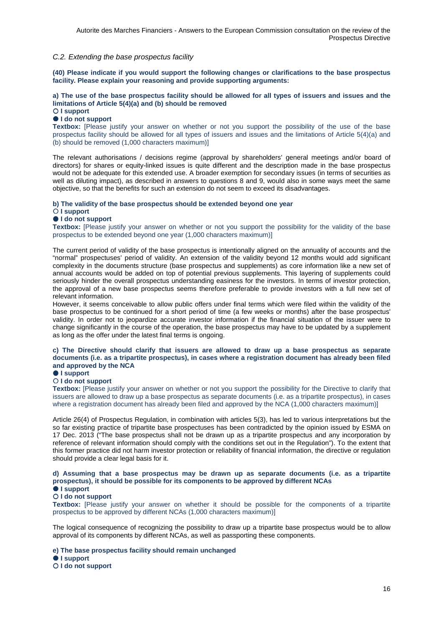## C.2. Extending the base prospectus facility

**(40) Please indicate if you would support the following changes or clarifications to the base prospectus facility. Please explain your reasoning and provide supporting arguments:** 

## **a) The use of the base prospectus facility should be allowed for all types of issuers and issues and the limitations of Article 5(4)(a) and (b) should be removed**

## **I support**

## **I do not support**

**Textbox:** [Please justify your answer on whether or not you support the possibility of the use of the base prospectus facility should be allowed for all types of issuers and issues and the limitations of Article 5(4)(a) and (b) should be removed (1,000 characters maximum)]

The relevant authorisations / decisions regime (approval by shareholders' general meetings and/or board of directors) for shares or equity-linked issues is quite different and the description made in the base prospectus would not be adequate for this extended use. A broader exemption for secondary issues (in terms of securities as well as diluting impact), as described in answers to questions 8 and 9, would also in some ways meet the same objective, so that the benefits for such an extension do not seem to exceed its disadvantages.

### **b) The validity of the base prospectus should be extended beyond one year**

### **I support**

### **I do not support**

**Textbox:** [Please justify your answer on whether or not you support the possibility for the validity of the base prospectus to be extended beyond one year (1,000 characters maximum)]

The current period of validity of the base prospectus is intentionally aligned on the annuality of accounts and the "normal" prospectuses' period of validity. An extension of the validity beyond 12 months would add significant complexity in the documents structure (base prospectus and supplements) as core information like a new set of annual accounts would be added on top of potential previous supplements. This layering of supplements could seriously hinder the overall prospectus understanding easiness for the investors. In terms of investor protection, the approval of a new base prospectus seems therefore preferable to provide investors with a full new set of relevant information.

However, it seems conceivable to allow public offers under final terms which were filed within the validity of the base prospectus to be continued for a short period of time (a few weeks or months) after the base prospectus' validity. In order not to jeopardize accurate investor information if the financial situation of the issuer were to change significantly in the course of the operation, the base prospectus may have to be updated by a supplement as long as the offer under the latest final terms is ongoing.

### **c) The Directive should clarify that issuers are allowed to draw up a base prospectus as separate documents (i.e. as a tripartite prospectus), in cases where a registration document has already been filed and approved by the NCA**

## $\bullet$  **I support**

## **I do not support**

**Textbox:** [Please justify your answer on whether or not you support the possibility for the Directive to clarify that issuers are allowed to draw up a base prospectus as separate documents (i.e. as a tripartite prospectus), in cases where a registration document has already been filed and approved by the NCA (1,000 characters maximum)]

Article 26(4) of Prospectus Regulation, in combination with articles 5(3), has led to various interpretations but the so far existing practice of tripartite base prospectuses has been contradicted by the opinion issued by ESMA on 17 Dec. 2013 ("The base prospectus shall not be drawn up as a tripartite prospectus and any incorporation by reference of relevant information should comply with the conditions set out in the Regulation"). To the extent that this former practice did not harm investor protection or reliability of financial information, the directive or regulation should provide a clear legal basis for it.

## **d) Assuming that a base prospectus may be drawn up as separate documents (i.e. as a tripartite prospectus), it should be possible for its components to be approved by different NCAs**

# $\bullet$  **I support**

**I do not support** 

**Textbox:** [Please justify your answer on whether it should be possible for the components of a tripartite prospectus to be approved by different NCAs (1,000 characters maximum)]

The logical consequence of recognizing the possibility to draw up a tripartite base prospectus would be to allow approval of its components by different NCAs, as well as passporting these components.

**e) The base prospectus facility should remain unchanged** 

**I support** 

**I do not support**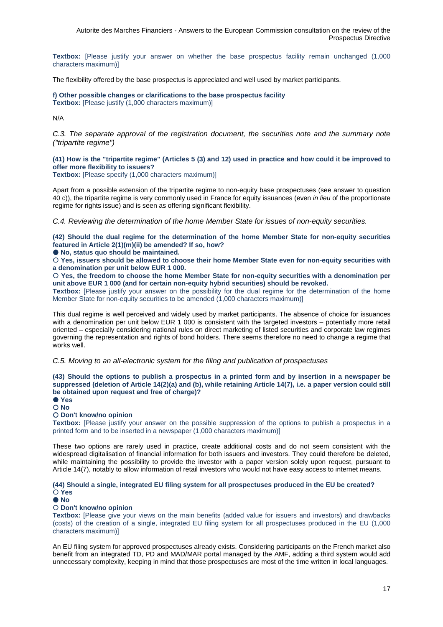**Textbox:** [Please justify your answer on whether the base prospectus facility remain unchanged (1,000 characters maximum)]

The flexibility offered by the base prospectus is appreciated and well used by market participants.

**f) Other possible changes or clarifications to the base prospectus facility Textbox:** [Please justify (1,000 characters maximum)]

N/A

C.3. The separate approval of the registration document, the securities note and the summary note ("tripartite regime")

## **(41) How is the "tripartite regime" (Articles 5 (3) and 12) used in practice and how could it be improved to offer more flexibility to issuers?**

**Textbox:** [Please specify (1,000 characters maximum)]

Apart from a possible extension of the tripartite regime to non-equity base prospectuses (see answer to question 40 c)), the tripartite regime is very commonly used in France for equity issuances (even in lieu of the proportionate regime for rights issue) and is seen as offering significant flexibility.

C.4. Reviewing the determination of the home Member State for issues of non-equity securities.

**(42) Should the dual regime for the determination of the home Member State for non-equity securities featured in Article 2(1)(m)(ii) be amended? If so, how?** 

**No, status quo should be maintained.** 

 **Yes, issuers should be allowed to choose their home Member State even for non-equity securities with a denomination per unit below EUR 1 000.** 

 **Yes, the freedom to choose the home Member State for non-equity securities with a denomination per unit above EUR 1 000 (and for certain non-equity hybrid securities) should be revoked.** 

**Textbox:** [Please justify your answer on the possibility for the dual regime for the determination of the home Member State for non-equity securities to be amended (1,000 characters maximum)]

This dual regime is well perceived and widely used by market participants. The absence of choice for issuances with a denomination per unit below EUR 1 000 is consistent with the targeted investors – potentially more retail oriented – especially considering national rules on direct marketing of listed securities and corporate law regimes governing the representation and rights of bond holders. There seems therefore no need to change a regime that works well.

### C.5. Moving to an all-electronic system for the filing and publication of prospectuses

**(43) Should the options to publish a prospectus in a printed form and by insertion in a newspaper be suppressed (deletion of Article 14(2)(a) and (b), while retaining Article 14(7), i.e. a paper version could still be obtained upon request and free of charge)?** 

 **Yes No** 

## **Don't know/no opinion**

**Textbox:** [Please justify your answer on the possible suppression of the options to publish a prospectus in a printed form and to be inserted in a newspaper (1,000 characters maximum)]

These two options are rarely used in practice, create additional costs and do not seem consistent with the widespread digitalisation of financial information for both issuers and investors. They could therefore be deleted, while maintaining the possibility to provide the investor with a paper version solely upon request, pursuant to Article 14(7), notably to allow information of retail investors who would not have easy access to internet means.

**(44) Should a single, integrated EU filing system for all prospectuses produced in the EU be created? Yes** 

 $\bullet$  No

### **Don't know/no opinion**

**Textbox:** [Please give your views on the main benefits (added value for issuers and investors) and drawbacks (costs) of the creation of a single, integrated EU filing system for all prospectuses produced in the EU (1,000 characters maximum)]

An EU filing system for approved prospectuses already exists. Considering participants on the French market also benefit from an integrated TD, PD and MAD/MAR portal managed by the AMF, adding a third system would add unnecessary complexity, keeping in mind that those prospectuses are most of the time written in local languages.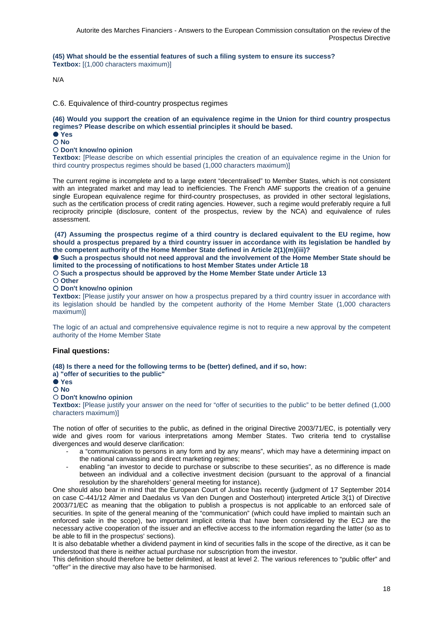**(45) What should be the essential features of such a filing system to ensure its success? Textbox:** [(1,000 characters maximum)]

N/A

C.6. Equivalence of third-country prospectus regimes

**(46) Would you support the creation of an equivalence regime in the Union for third country prospectus regimes? Please describe on which essential principles it should be based.** 

 **Yes No** 

**Don't know/no opinion** 

**Textbox:** [Please describe on which essential principles the creation of an equivalence regime in the Union for third country prospectus regimes should be based (1,000 characters maximum)]

The current regime is incomplete and to a large extent "decentralised" to Member States, which is not consistent with an integrated market and may lead to inefficiencies. The French AMF supports the creation of a genuine single European equivalence regime for third-country prospectuses, as provided in other sectoral legislations, such as the certification process of credit rating agencies. However, such a regime would preferably require a full reciprocity principle (disclosure, content of the prospectus, review by the NCA) and equivalence of rules assessment.

**(47) Assuming the prospectus regime of a third country is declared equivalent to the EU regime, how should a prospectus prepared by a third country issuer in accordance with its legislation be handled by the competent authority of the Home Member State defined in Article 2(1)(m)(iii)?** 

 **Such a prospectus should not need approval and the involvement of the Home Member State should be limited to the processing of notifications to host Member States under Article 18** 

**Such a prospectus should be approved by the Home Member State under Article 13** 

**Other** 

## **Don't know/no opinion**

**Textbox:** [Please justify your answer on how a prospectus prepared by a third country issuer in accordance with its legislation should be handled by the competent authority of the Home Member State (1,000 characters maximum)]

The logic of an actual and comprehensive equivalence regime is not to require a new approval by the competent authority of the Home Member State

### **Final questions:**

**(48) Is there a need for the following terms to be (better) defined, and if so, how:** 

**a) "offer of securities to the public"** 

 **Yes No** 

## **Don't know/no opinion**

**Textbox:** [Please justify your answer on the need for "offer of securities to the public" to be better defined (1,000 characters maximum)]

The notion of offer of securities to the public, as defined in the original Directive 2003/71/EC, is potentially very wide and gives room for various interpretations among Member States. Two criteria tend to crystallise divergences and would deserve clarification:

- a "communication to persons in any form and by any means", which may have a determining impact on the national canvassing and direct marketing regimes;
- enabling "an investor to decide to purchase or subscribe to these securities", as no difference is made between an individual and a collective investment decision (pursuant to the approval of a financial resolution by the shareholders' general meeting for instance).

One should also bear in mind that the European Court of Justice has recently (judgment of 17 September 2014 on case C-441/12 Almer and Daedalus vs Van den Dungen and Oosterhout) interpreted Article 3(1) of Directive 2003/71/EC as meaning that the obligation to publish a prospectus is not applicable to an enforced sale of securities. In spite of the general meaning of the "communication" (which could have implied to maintain such an enforced sale in the scope), two important implicit criteria that have been considered by the ECJ are the necessary active cooperation of the issuer and an effective access to the information regarding the latter (so as to be able to fill in the prospectus' sections).

It is also debatable whether a dividend payment in kind of securities falls in the scope of the directive, as it can be understood that there is neither actual purchase nor subscription from the investor.

This definition should therefore be better delimited, at least at level 2. The various references to "public offer" and "offer" in the directive may also have to be harmonised.